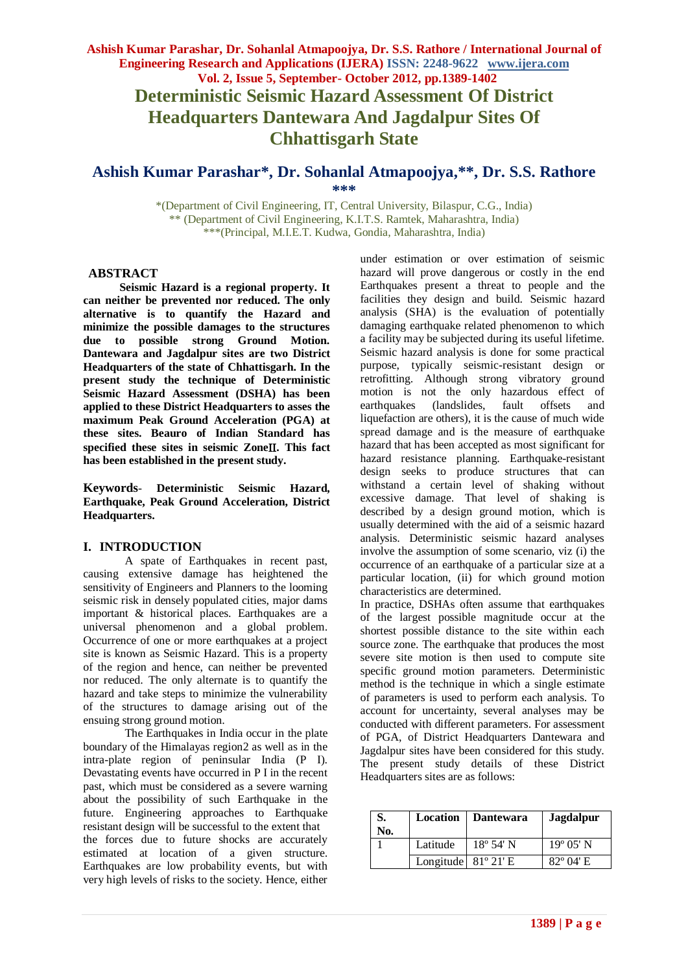**Deterministic Seismic Hazard Assessment Of District Headquarters Dantewara And Jagdalpur Sites Of Chhattisgarh State**

# **Ashish Kumar Parashar\* , Dr. Sohanlal Atmapoojya, \*\* , Dr. S.S. Rathore \*\*\***

\*(Department of Civil Engineering, IT, Central University, Bilaspur, C.G., India) \*\* (Department of Civil Engineering, K.I.T.S. Ramtek, Maharashtra, India) \*\*\*(Principal, M.I.E.T. Kudwa, Gondia, Maharashtra, India)

#### **ABSTRACT**

**Seismic Hazard is a regional property. It can neither be prevented nor reduced. The only alternative is to quantify the Hazard and minimize the possible damages to the structures due to possible strong Ground Motion. Dantewara and Jagdalpur sites are two District Headquarters of the state of Chhattisgarh. In the present study the technique of Deterministic Seismic Hazard Assessment (DSHA) has been applied to these District Headquarters to asses the maximum Peak Ground Acceleration (PGA) at these sites. Beauro of Indian Standard has specified these sites in seismic Zone. This fact has been established in the present study.**

**Keywords**- **Deterministic Seismic Hazard, Earthquake, Peak Ground Acceleration, District Headquarters.**

#### **I. INTRODUCTION**

A spate of Earthquakes in recent past, causing extensive damage has heightened the sensitivity of Engineers and Planners to the looming seismic risk in densely populated cities, major dams important & historical places. Earthquakes are a universal phenomenon and a global problem. Occurrence of one or more earthquakes at a project site is known as Seismic Hazard. This is a property of the region and hence, can neither be prevented nor reduced. The only alternate is to quantify the hazard and take steps to minimize the vulnerability of the structures to damage arising out of the ensuing strong ground motion.

The Earthquakes in India occur in the plate boundary of the Himalayas region2 as well as in the intra-plate region of peninsular India (P I). Devastating events have occurred in P I in the recent past, which must be considered as a severe warning about the possibility of such Earthquake in the future. Engineering approaches to Earthquake resistant design will be successful to the extent that the forces due to future shocks are accurately estimated at location of a given structure. Earthquakes are low probability events, but with very high levels of risks to the society. Hence, either

under estimation or over estimation of seismic hazard will prove dangerous or costly in the end Earthquakes present a threat to people and the facilities they design and build. Seismic hazard analysis (SHA) is the evaluation of potentially damaging earthquake related phenomenon to which a facility may be subjected during its useful lifetime. Seismic hazard analysis is done for some practical purpose, typically seismic-resistant design or retrofitting. Although strong vibratory ground motion is not the only hazardous effect of earthquakes (landslides, fault offsets and liquefaction are others), it is the cause of much wide spread damage and is the measure of earthquake hazard that has been accepted as most significant for hazard resistance planning. Earthquake-resistant design seeks to produce structures that can withstand a certain level of shaking without excessive damage. That level of shaking is described by a design ground motion, which is usually determined with the aid of a seismic hazard analysis. Deterministic seismic hazard analyses involve the assumption of some scenario, viz (i) the occurrence of an earthquake of a particular size at a particular location, (ii) for which ground motion characteristics are determined.

In practice, DSHAs often assume that earthquakes of the largest possible magnitude occur at the shortest possible distance to the site within each source zone. The earthquake that produces the most severe site motion is then used to compute site specific ground motion parameters. Deterministic method is the technique in which a single estimate of parameters is used to perform each analysis. To account for uncertainty, several analyses may be conducted with different parameters. For assessment of PGA, of District Headquarters Dantewara and Jagdalpur sites have been considered for this study. The present study details of these District Headquarters sites are as follows:

| No. | Location                     | Dantewara          | <b>Jagdalpur</b>   |
|-----|------------------------------|--------------------|--------------------|
|     | Latitude                     | $18^{\circ} 54' N$ | $19^{\circ}$ 05' N |
|     | Longitude $81^{\circ}$ 21' E |                    | $82^{\circ}$ 04' E |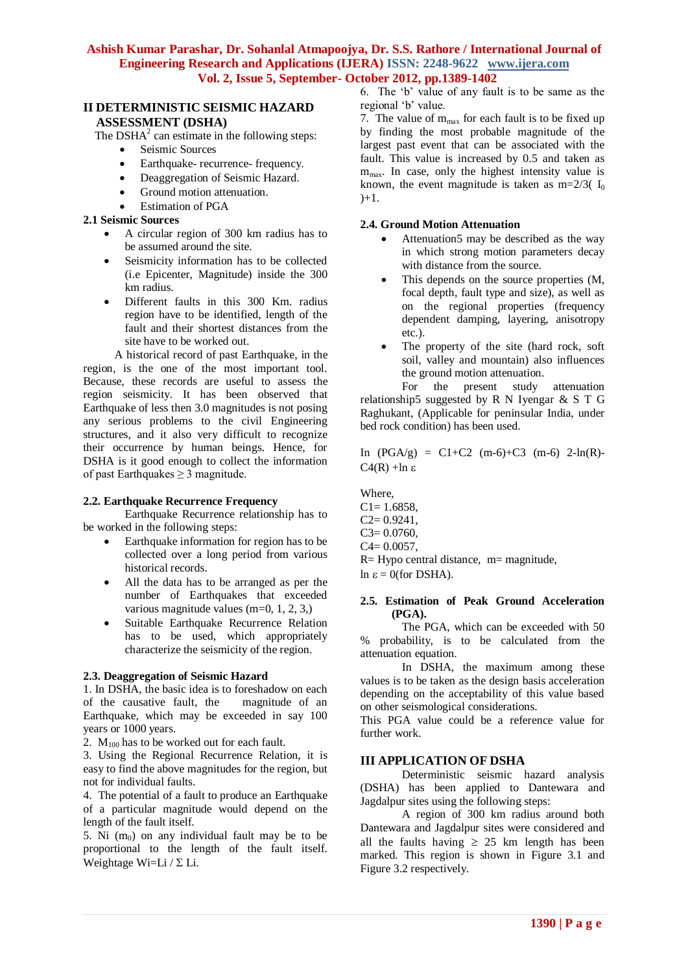#### **II DETERMINISTIC SEISMIC HAZARD ASSESSMENT (DSHA)**

The DSH $A<sup>2</sup>$  can estimate in the following steps:

- Seismic Sources
- Earthquake- recurrence- frequency.
- Deaggregation of Seismic Hazard.
- Ground motion attenuation.
- Estimation of PGA

#### **2.1 Seismic Sources**

- A circular region of 300 km radius has to be assumed around the site.
- Seismicity information has to be collected (i.e Epicenter, Magnitude) inside the 300 km radius.
- Different faults in this 300 Km. radius region have to be identified, length of the fault and their shortest distances from the site have to be worked out.

A historical record of past Earthquake, in the region, is the one of the most important tool. Because, these records are useful to assess the region seismicity. It has been observed that Earthquake of less then 3.0 magnitudes is not posing any serious problems to the civil Engineering structures, and it also very difficult to recognize their occurrence by human beings. Hence, for DSHA is it good enough to collect the information of past Earthquakes  $\geq 3$  magnitude.

# **2.2. Earthquake Recurrence Frequency**

Earthquake Recurrence relationship has to be worked in the following steps:

- Earthquake information for region has to be collected over a long period from various historical records.
- All the data has to be arranged as per the number of Earthquakes that exceeded various magnitude values (m=0, 1, 2, 3,)
- Suitable Earthquake Recurrence Relation has to be used, which appropriately characterize the seismicity of the region.

#### **2.3. Deaggregation of Seismic Hazard**

1. In DSHA, the basic idea is to foreshadow on each of the causative fault, the magnitude of an Earthquake, which may be exceeded in say 100 years or 1000 years.

2.  $M_{100}$  has to be worked out for each fault.

3. Using the Regional Recurrence Relation, it is easy to find the above magnitudes for the region, but not for individual faults.

4. The potential of a fault to produce an Earthquake of a particular magnitude would depend on the length of the fault itself.

5. Ni  $(m_0)$  on any individual fault may be to be proportional to the length of the fault itself. Weightage Wi=Li /  $\Sigma$  Li.

6. The "b" value of any fault is to be same as the regional 'b' value.

7. The value of  $m_{max}$  for each fault is to be fixed up by finding the most probable magnitude of the largest past event that can be associated with the fault. This value is increased by 0.5 and taken as  $m<sub>max</sub>$ . In case, only the highest intensity value is known, the event magnitude is taken as  $m=2/3$ ( $I_0$  $)+1.$ 

#### **2.4. Ground Motion Attenuation**

- Attenuation5 may be described as the way in which strong motion parameters decay with distance from the source.
- This depends on the source properties  $(M, \mathbb{R})$ focal depth, fault type and size), as well as on the regional properties (frequency dependent damping, layering, anisotropy etc.).
- The property of the site (hard rock, soft soil, valley and mountain) also influences the ground motion attenuation.

For the present study attenuation relationship5 suggested by R N Iyengar & S T G Raghukant, (Applicable for peninsular India, under bed rock condition) has been used.

In  $(PGA/g) = C1+C2$  (m-6)+C3 (m-6) 2-ln(R)- $C4(R)$  +ln  $\varepsilon$ 

Where,

 $C1 = 1.6858$ ,

- $C2= 0.9241$ ,
- C3= 0.0760,
- $C4 = 0.0057$ ,
- $R= Hypo$  central distance,  $m=$  magnitude,
- $\ln \varepsilon = 0$ (for DSHA).

#### **2.5. Estimation of Peak Ground Acceleration (PGA).**

The PGA, which can be exceeded with 50 % probability, is to be calculated from the attenuation equation.

In DSHA, the maximum among these values is to be taken as the design basis acceleration depending on the acceptability of this value based on other seismological considerations.

This PGA value could be a reference value for further work.

# **III APPLICATION OF DSHA**

Deterministic seismic hazard analysis (DSHA) has been applied to Dantewara and Jagdalpur sites using the following steps:

A region of 300 km radius around both Dantewara and Jagdalpur sites were considered and all the faults having  $\geq 25$  km length has been marked. This region is shown in Figure 3.1 and Figure 3.2 respectively.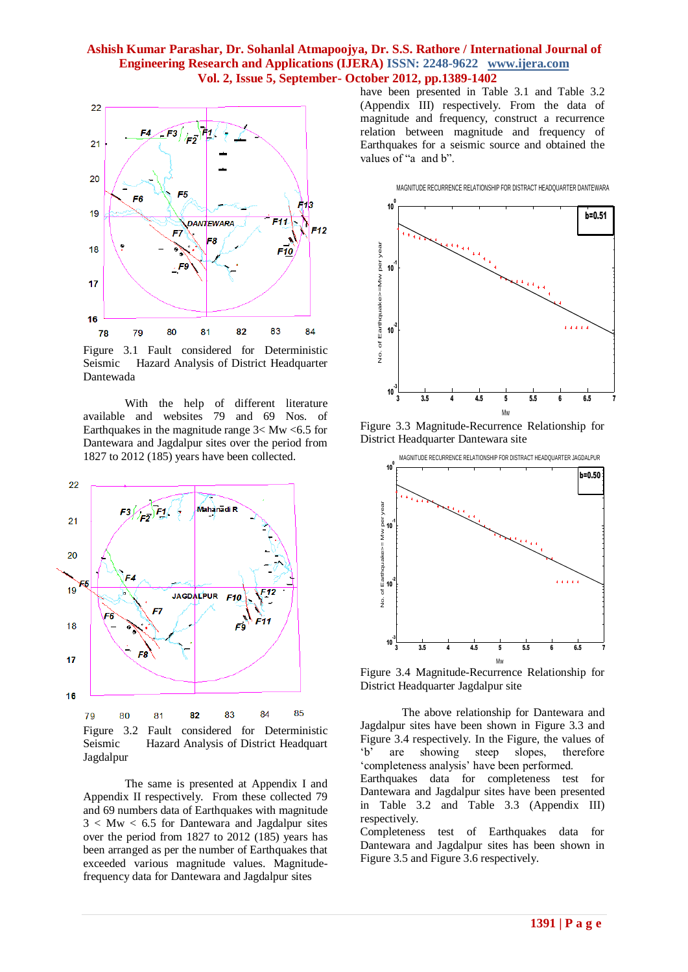

Figure 3.1 Fault considered for Deterministic Seismic Hazard Analysis of District Headquarter Dantewada

With the help of different literature available and websites 79 and 69 Nos. of Earthquakes in the magnitude range  $3 < Mw < 6.5$  for Dantewara and Jagdalpur sites over the period from 1827 to 2012 (185) years have been collected.



Figure 3.2 Fault considered for Deterministic Seismic Hazard Analysis of District Headquart Jagdalpur

The same is presented at Appendix I and Appendix II respectively. From these collected 79 and 69 numbers data of Earthquakes with magnitude  $3 < Mw < 6.5$  for Dantewara and Jagdalpur sites over the period from 1827 to 2012 (185) years has been arranged as per the number of Earthquakes that exceeded various magnitude values. Magnitudefrequency data for Dantewara and Jagdalpur sites

have been presented in Table 3.1 and Table 3.2 (Appendix III) respectively. From the data of magnitude and frequency, construct a recurrence relation between magnitude and frequency of Earthquakes for a seismic source and obtained the values of "a and b".



Figure 3.3 Magnitude-Recurrence Relationship for District Headquarter Dantewara site



Figure 3.4 Magnitude-Recurrence Relationship for District Headquarter Jagdalpur site

The above relationship for Dantewara and Jagdalpur sites have been shown in Figure 3.3 and Figure 3.4 respectively. In the Figure, the values of b<sup>'</sup> are showing steep slopes, therefore "completeness analysis" have been performed. Earthquakes data for completeness test for Dantewara and Jagdalpur sites have been presented in Table 3.2 and Table 3.3 (Appendix III) respectively.

Completeness test of Earthquakes data for Dantewara and Jagdalpur sites has been shown in Figure 3.5 and Figure 3.6 respectively.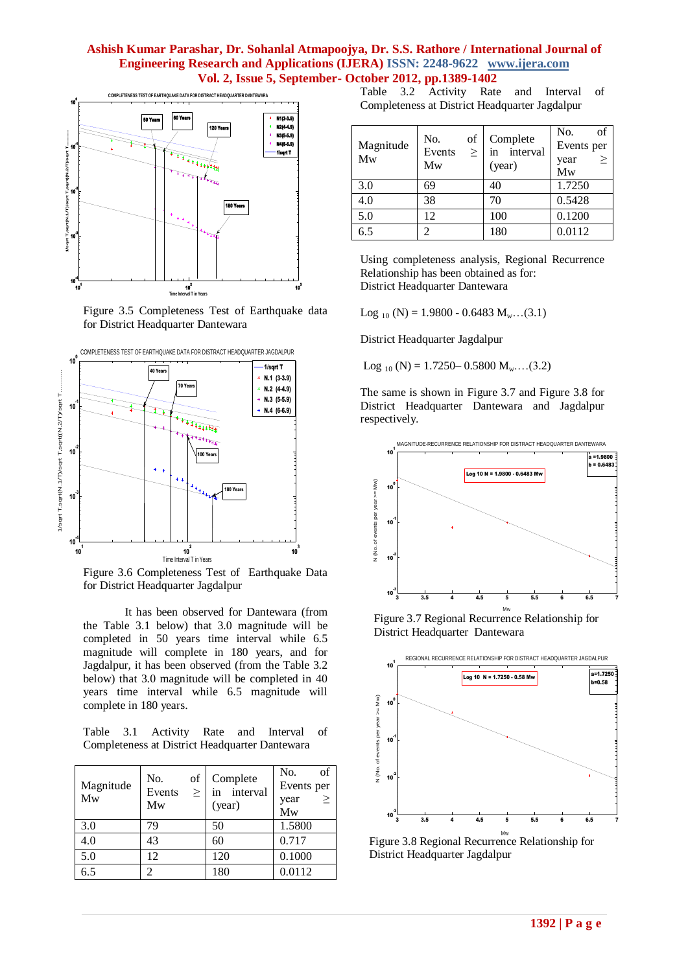

Figure 3.5 Completeness Test of Earthquake data for District Headquarter Dantewara



Figure 3.6 Completeness Test of Earthquake Data for District Headquarter Jagdalpur

It has been observed for Dantewara (from the Table 3.1 below) that 3.0 magnitude will be completed in 50 years time interval while 6.5 magnitude will complete in 180 years, and for Jagdalpur, it has been observed (from the Table 3.2 below) that 3.0 magnitude will be completed in 40 years time interval while 6.5 magnitude will complete in 180 years.

Table 3.1 Activity Rate and Interval of Completeness at District Headquarter Dantewara

| Magnitude<br>Mw | No.<br>of<br>Events<br>$\geq$<br>Mw | Complete<br>interval<br>in<br>(year) | No.<br>of<br>Events per<br>><br>year<br>Mw |
|-----------------|-------------------------------------|--------------------------------------|--------------------------------------------|
| 3.0             | 79                                  | 50                                   | 1.5800                                     |
| 4.0             | 43                                  | 60                                   | 0.717                                      |
| 5.0             | 12                                  | 120                                  | 0.1000                                     |
| 6.5             | 2                                   | 180                                  | 0.0112                                     |

Table 3.2 Activity Rate and Interval of Completeness at District Headquarter Jagdalpur

| Magnitude<br>Mw | No.<br>of<br>Events<br>$\,>$<br>Mw | Complete<br>interval<br>in<br>(year) | of<br>No.<br>Events per<br>$\geq$<br>year<br>Mw |
|-----------------|------------------------------------|--------------------------------------|-------------------------------------------------|
| 3.0             | 69                                 | 40                                   | 1.7250                                          |
| 4.0             | 38                                 | 70                                   | 0.5428                                          |
| 5.0             | 12                                 | 100                                  | 0.1200                                          |
| 6.5             | $\mathcal{D}$                      | 180                                  | 0.0112                                          |

Using completeness analysis, Regional Recurrence Relationship has been obtained as for: District Headquarter Dantewara

Log  $_{10}$  (N) = 1.9800 - 0.6483 M<sub>w</sub>...(3.1)

District Headquarter Jagdalpur

Log  $_{10}$  (N) = 1.7250– 0.5800 M<sub>w</sub>...(3.2)

The same is shown in Figure 3.7 and Figure 3.8 for District Headquarter Dantewara and Jagdalpur respectively.



Figure 3.7 Regional Recurrence Relationship for District Headquarter Dantewara



 Figure 3.8 Regional Recurrence Relationship for District Headquarter Jagdalpur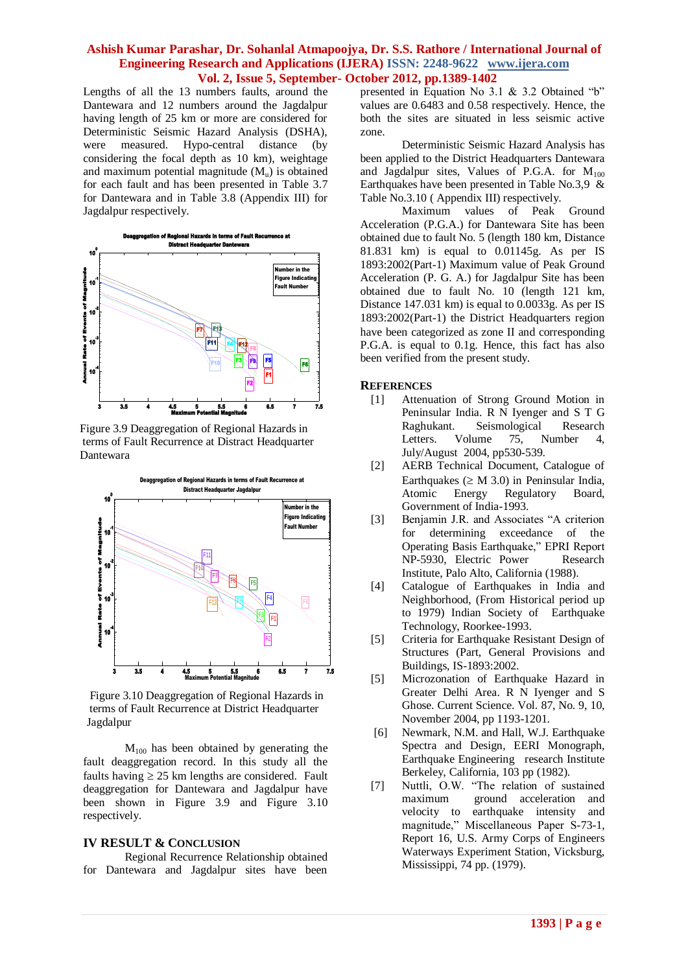Lengths of all the 13 numbers faults, around the Dantewara and 12 numbers around the Jagdalpur having length of 25 km or more are considered for Deterministic Seismic Hazard Analysis (DSHA), were measured. Hypo-central distance (by considering the focal depth as 10 km), weightage and maximum potential magnitude  $(M<sub>u</sub>)$  is obtained for each fault and has been presented in Table 3.7 for Dantewara and in Table 3.8 (Appendix III) for Jagdalpur respectively.



 Figure 3.9 Deaggregation of Regional Hazards in terms of Fault Recurrence at Distract Headquarter Dantewara



 Figure 3.10 Deaggregation of Regional Hazards in terms of Fault Recurrence at District Headquarter Jagdalpur

 $M<sub>100</sub>$  has been obtained by generating the fault deaggregation record. In this study all the faults having  $\geq$  25 km lengths are considered. Fault deaggregation for Dantewara and Jagdalpur have been shown in Figure 3.9 and Figure 3.10 respectively.

#### **IV RESULT & CONCLUSION**

Regional Recurrence Relationship obtained for Dantewara and Jagdalpur sites have been presented in Equation No 3.1 & 3.2 Obtained "b" values are 0.6483 and 0.58 respectively. Hence, the both the sites are situated in less seismic active zone.

Deterministic Seismic Hazard Analysis has been applied to the District Headquarters Dantewara and Jagdalpur sites, Values of P.G.A. for  $M_{100}$ Earthquakes have been presented in Table No.3.9  $\&$ Table No.3.10 ( Appendix III) respectively.

Maximum values of Peak Ground Acceleration (P.G.A.) for Dantewara Site has been obtained due to fault No. 5 (length 180 km, Distance 81.831 km) is equal to 0.01145g. As per IS 1893:2002(Part-1) Maximum value of Peak Ground Acceleration (P. G. A.) for Jagdalpur Site has been obtained due to fault No. 10 (length 121 km, Distance 147.031 km) is equal to 0.0033g. As per IS 1893:2002(Part-1) the District Headquarters region have been categorized as zone II and corresponding P.G.A. is equal to 0.1g. Hence, this fact has also been verified from the present study.

#### **REFERENCES**

- [1] Attenuation of Strong Ground Motion in Peninsular India. R N Iyenger and S T G Raghukant. Seismological Research Letters. Volume 75, Number 4, July/August 2004, pp530-539.
- [2] AERB Technical Document, Catalogue of Earthquakes ( $\geq M$  3.0) in Peninsular India,<br>Atomic Energy Regulatory Board. Energy Regulatory Board, Government of India-1993.
- [3] Benjamin J.R. and Associates "A criterion for determining exceedance of the Operating Basis Earthquake," EPRI Report NP-5930, Electric Power Research Institute, Palo Alto, California (1988).
- [4] Catalogue of Earthquakes in India and Neighborhood, (From Historical period up to 1979) Indian Society of Earthquake Technology, Roorkee-1993.
- [5] Criteria for Earthquake Resistant Design of Structures (Part, General Provisions and Buildings, IS-1893:2002.
- [5] Microzonation of Earthquake Hazard in Greater Delhi Area. R N Iyenger and S Ghose. Current Science. Vol. 87, No. 9, 10, November 2004, pp 1193-1201.
- [6] Newmark, N.M. and Hall, W.J. Earthquake Spectra and Design, EERI Monograph, Earthquake Engineering research Institute Berkeley, California, 103 pp (1982).
- [7] Nuttli, O.W. "The relation of sustained maximum ground acceleration and velocity to earthquake intensity and magnitude," Miscellaneous Paper S-73-1, Report 16, U.S. Army Corps of Engineers Waterways Experiment Station, Vicksburg, Mississippi, 74 pp. (1979).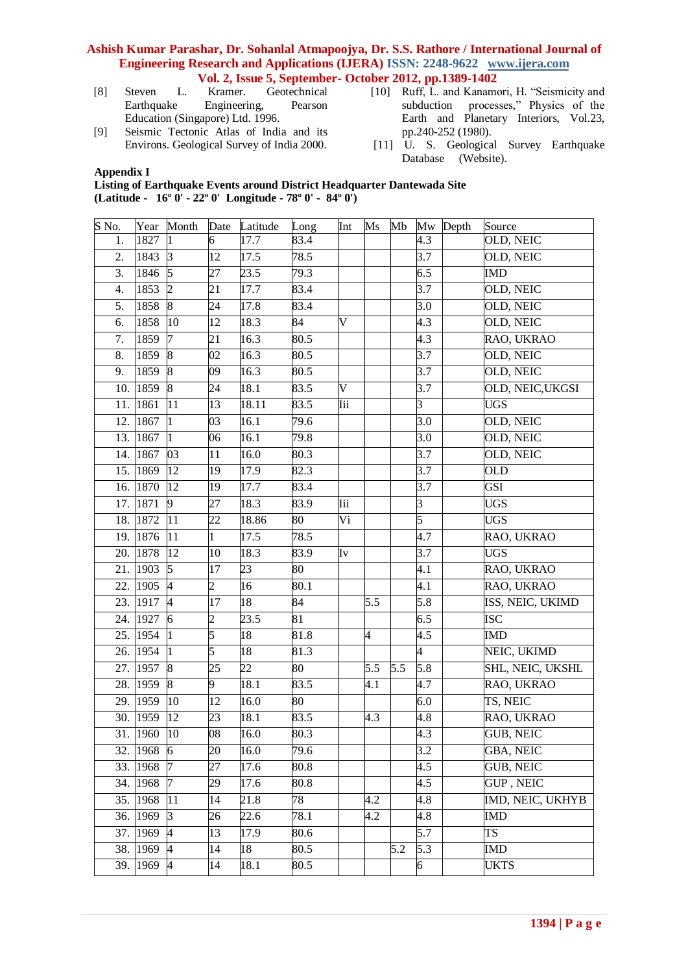[8] Steven L. Kramer. Geotechnical

- Earthquake Engineering, Pearson Education (Singapore) Ltd. 1996.
- [9] Seismic Tectonic Atlas of India and its Environs. Geological Survey of India 2000.
- [10] Ruff, L. and Kanamori, H. "Seismicity and subduction processes," Physics of the Earth and Planetary Interiors, Vol.23, pp.240-252 (1980).
- [11] U. S. Geological Survey Earthquake Database (Website).

**Appendix I**

**Listing of Earthquake Events around District Headquarter Dantewada Site (Latitude - 16º 0' - 22º 0' Longitude - 78º 0' - 84º 0')**

| S No.            |              | Year Month      |                 | Date Latitude   | Long              | Int                   | $\overline{\text{Ms}}$ | Mb  |                  | Mw Depth | Source                  |
|------------------|--------------|-----------------|-----------------|-----------------|-------------------|-----------------------|------------------------|-----|------------------|----------|-------------------------|
| 1.               | 1827         | $\mathbf{1}$    | 6               | 17.7            | 83.4              |                       |                        |     | 4.3              |          | OLD, NEIC               |
| 2.               | 1843         | $\vert 3 \vert$ | 12              | 17.5            | 78.5              |                       |                        |     | 3.7              |          | OLD, NEIC               |
| 3.               | 1846         | $\sqrt{5}$      | 27              | 23.5            | 79.3              |                       |                        |     | 6.5              |          | IMD                     |
| $\overline{4}$ . | 1853         | $\overline{2}$  | $\overline{21}$ | 17.7            | 83.4              |                       |                        |     | $\overline{3.7}$ |          | OLD, NEIC               |
| 5.               | 1858         | 8               | 24              | 17.8            | 83.4              |                       |                        |     | 3.0              |          | OLD, NEIC               |
| 6.               | 1858         | $ 10\rangle$    | 12              | 18.3            | 84                | V                     |                        |     | 4.3              |          | OLD, NEIC               |
| 7.               | 1859         | $\overline{7}$  | 21              | 16.3            | 80.5              |                       |                        |     | 4.3              |          | RAO, UKRAO              |
| 8.               | 1859         | 8               | 02              | 16.3            | 80.5              |                       |                        |     | 3.7              |          | OLD, NEIC               |
| 9.               | 1859         | 8               | 09              | 16.3            | 80.5              |                       |                        |     | $\overline{3.7}$ |          | OLD, NEIC               |
| 10.              | 1859         | 8               | 24              | 18.1            | 83.5              | $\overline{\text{V}}$ |                        |     | 3.7              |          | OLD, NEIC, UKGSI        |
| 11.              | 1861         | 11              | 13              | 18.11           | 83.5              | Iii                   |                        |     | 3                |          | <b>UGS</b>              |
| 12.              | 1867         | $\vert$ 1       | $\overline{03}$ | 16.1            | 79.6              |                       |                        |     | $\overline{3.0}$ |          | OLD, NEIC               |
| 13.              | 1867         | $\vert$ 1       | 06              | 16.1            | 79.8              |                       |                        |     | 3.0              |          | OLD, NEIC               |
| 14.              | 1867         | 03              | 11              | 16.0            | 80.3              |                       |                        |     | 3.7              |          | OLD, NEIC               |
|                  | 15. 1869     | 12              | 19              | 17.9            | 82.3              |                       |                        |     | 3.7              |          | <b>OLD</b>              |
|                  | 16. 1870     | 12              | 19              | 17.7            | 83.4              |                       |                        |     | 3.7              |          | GSI                     |
|                  | 17. 1871     | 9               | 27              | 18.3            | 83.9              | <b>Iii</b>            |                        |     | 3                |          | <b>UGS</b>              |
|                  | 18. 1872     | 11              | 22              | 18.86           | 80                | Vi                    |                        |     | 5                |          | <b>UGS</b>              |
|                  | 19. 1876     | 11              | 1               | 17.5            | 78.5              |                       |                        |     | 4.7              |          | RAO, UKRAO              |
|                  | 20.1878      | 12              | 10              | 18.3            | 83.9              | Iv                    |                        |     | 3.7              |          | <b>UGS</b>              |
| 21.              | 1903         | 5               | 17              | 23              | 80                |                       |                        |     | 4.1              |          | RAO, UKRAO              |
|                  | 22. 1905     | $\overline{4}$  | $\overline{2}$  | 16              | 80.1              |                       |                        |     | 4.1              |          | RAO, UKRAO              |
|                  | 23. $1917$ 4 |                 | 17              | 18              | 84                |                       | 5.5                    |     | 5.8              |          | ISS, NEIC, UKIMD        |
|                  | 24. 1927 6   |                 | $\overline{c}$  | 23.5            | 81                |                       |                        |     | 6.5              |          | <b>ISC</b>              |
|                  | 25. 1954     | $ 1\rangle$     | 5               | 18              | 81.8              |                       | 4                      |     | 4.5              |          | <b>IMD</b>              |
|                  | 26. 1954     | $\vert$ 1       | 5               | 18              | 81.3              |                       |                        |     | 4                |          | NEIC, UKIMD             |
|                  | 27. 1957 8   |                 | 25              | $\overline{22}$ | 80                |                       | 5.5                    | 5.5 | $\overline{5.8}$ |          | SHL, NEIC, UKSHL        |
|                  | 28. 1959 8   |                 | 9               | 18.1            | 83.5              |                       | $\overline{4.1}$       |     | 4.7              |          | RAO, UKRAO              |
|                  | 29. 1959     | $ 10\rangle$    | 12              | 16.0            | 80                |                       |                        |     | 6.0              |          | TS, NEIC                |
|                  | 30. 1959     | 12              | 23              | 18.1            | 83.5              |                       | 4.3                    |     | 4.8              |          | RAO, UKRAO              |
|                  | 31. 1960 10  |                 | $\overline{08}$ | 16.0            | 80.3              |                       |                        |     | 4.3              |          | <b>GUB, NEIC</b>        |
|                  | 32. $1968$ 6 |                 | 20              | 16.0            | 79.6              |                       |                        |     | 3.2              |          | <b>GBA, NEIC</b>        |
|                  | 33. 1968     | $\sqrt{7}$      | 27              | 17.6            | 80.8              |                       |                        |     | 4.5              |          | <b>GUB, NEIC</b>        |
|                  | 34. 1968 7   |                 | 29              | 17.6            | 80.8              |                       |                        |     | 4.5              |          | <b>GUP, NEIC</b>        |
|                  | 35. 1968 11  |                 | 14              | 21.8            | 78                |                       | 4.2                    |     | 4.8              |          | <b>IMD, NEIC, UKHYB</b> |
|                  | 36. $1969$ 3 |                 | 26              | 22.6            | 78.1              |                       | $\overline{4.2}$       |     | 4.8              |          | <b>IMD</b>              |
|                  | 37. 1969 4   |                 | 13              | 17.9            | 80.6              |                       |                        |     | 5.7              |          | TS                      |
|                  | 38. 1969 4   |                 | 14              | 18              | 80.5              |                       |                        | 5.2 | 5.3              |          | IMD                     |
|                  | 39. 1969 4   |                 | 14              | 18.1            | $\overline{8}0.5$ |                       |                        |     | 6                |          | <b>UKTS</b>             |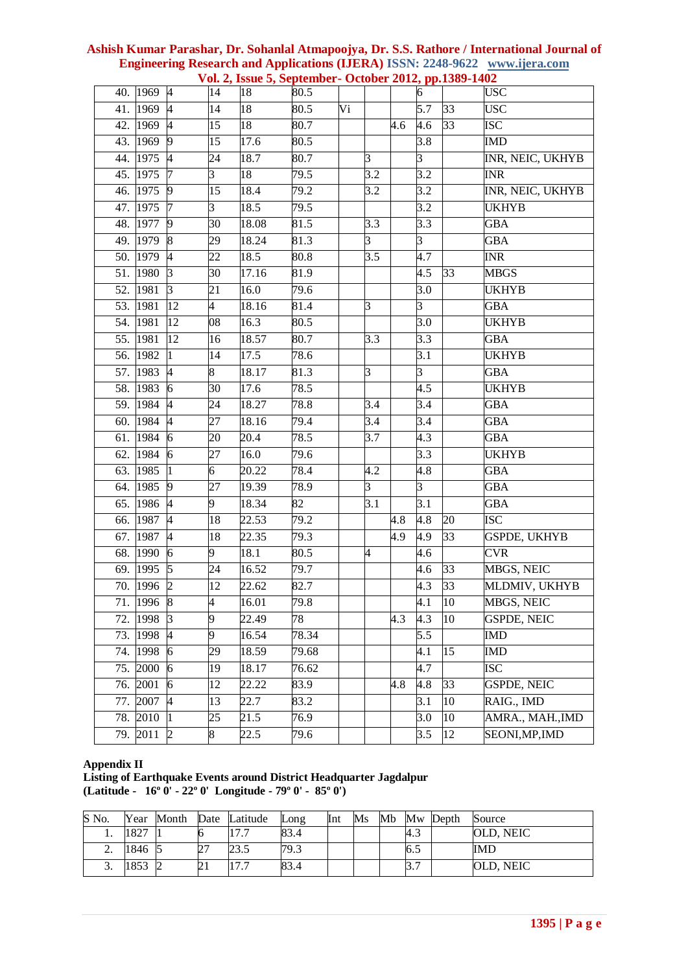|     | Vol. 2, Issue 5, September- October 2012, pp.1389-1402 |                  |                 |                 |       |    |                  |     |                  |                 |                     |
|-----|--------------------------------------------------------|------------------|-----------------|-----------------|-------|----|------------------|-----|------------------|-----------------|---------------------|
|     | 40. 1969                                               | $\overline{A}$   | $\overline{14}$ | $\overline{18}$ | 80.5  |    |                  |     | 6                |                 | <b>USC</b>          |
| 41. | 1969                                                   | $\overline{A}$   | 14              | 18              | 80.5  | Vi |                  |     | 5.7              | 33              | <b>USC</b>          |
|     | 42. 1969                                               | $\overline{4}$   | 15              | $\overline{18}$ | 80.7  |    |                  | 4.6 | 4.6              | $\overline{33}$ | <b>ISC</b>          |
|     | 43. 1969                                               | $\overline{9}$   | 15              | 17.6            | 80.5  |    |                  |     | 3.8              |                 | <b>IMD</b>          |
|     | 44. 1975                                               | $\overline{A}$   | 24              | 18.7            | 80.7  |    | $\beta$          |     | 3                |                 | INR, NEIC, UKHYB    |
|     | 45. 1975                                               | I7               | 3               | 18              | 79.5  |    | $\overline{3.2}$ |     | $\overline{3.2}$ |                 | <b>INR</b>          |
|     | 46. 1975                                               | $\overline{9}$   | 15              | 18.4            | 79.2  |    | 3.2              |     | 3.2              |                 | INR, NEIC, UKHYB    |
|     | 47. 1975                                               | $\overline{7}$   | 3               | 18.5            | 79.5  |    |                  |     | 3.2              |                 | <b>UKHYB</b>        |
|     | 48. 1977                                               | $\overline{9}$   | $\overline{30}$ | 18.08           | 81.5  |    | $\overline{3.3}$ |     | 3.3              |                 | <b>GBA</b>          |
|     | 49. 1979                                               | 8                | 29              | 18.24           | 81.3  |    | 3                |     | 3                |                 | GBA                 |
|     | 50. 1979                                               | $\overline{4}$   | 22              | 18.5            | 80.8  |    | 3.5              |     | 4.7              |                 | <b>INR</b>          |
|     | 51. 1980                                               | $\vert$ 3        | $\overline{30}$ | 17.16           | 81.9  |    |                  |     | 4.5              | $\overline{33}$ | <b>MBGS</b>         |
|     | 52. 1981                                               | $\mathbf{3}$     | 21              | 16.0            | 79.6  |    |                  |     | 3.0              |                 | <b>UKHYB</b>        |
|     | 53. 1981                                               | 12               | $\overline{4}$  | 18.16           | 81.4  |    | 3                |     | 3                |                 | <b>GBA</b>          |
|     | 54. 1981                                               | 12               | 08              | 16.3            | 80.5  |    |                  |     | $\overline{3.0}$ |                 | <b>UKHYB</b>        |
|     | 55. 1981                                               | 12               | 16              | 18.57           | 80.7  |    | 3.3              |     | 3.3              |                 | <b>GBA</b>          |
|     | 56. 1982                                               | $\vert$ 1        | 14              | 17.5            | 78.6  |    |                  |     | 3.1              |                 | <b>UKHYB</b>        |
|     | 57. 1983                                               | $\overline{4}$   | 8               | 18.17           | 81.3  |    | 3                |     | 3                |                 | GBA                 |
|     | 58. 1983                                               | $\overline{6}$   | 30              | 17.6            | 78.5  |    |                  |     | 4.5              |                 | <b>UKHYB</b>        |
|     | 59. 1984                                               | $\overline{4}$   | 24              | 18.27           | 78.8  |    | 3.4              |     | 3.4              |                 | <b>GBA</b>          |
|     | 60. 1984                                               | $\overline{4}$   | 27              | 18.16           | 79.4  |    | 3.4              |     | 3.4              |                 | GBA                 |
| 61. | 1984                                                   | $\overline{6}$   | 20              | 20.4            | 78.5  |    | 3.7              |     | 4.3              |                 | <b>GBA</b>          |
| 62. | 1984                                                   | $\vert 6 \vert$  | 27              | 16.0            | 79.6  |    |                  |     | 3.3              |                 | <b>UKHYB</b>        |
| 63. | 1985                                                   | $\vert$ 1        | 6               | 20.22           | 78.4  |    | 4.2              |     | 4.8              |                 | GBA                 |
|     | 64. 1985                                               | $\overline{9}$   | 27              | 19.39           | 78.9  |    | $\overline{3}$   |     | $\overline{3}$   |                 | <b>GBA</b>          |
| 65. | 1986                                                   | $\overline{A}$   | 9               | 18.34           | 82    |    | 3.1              |     | 3.1              |                 | <b>GBA</b>          |
| 66. | 1987                                                   | $\overline{A}$   | 18              | 22.53           | 79.2  |    |                  | 4.8 | 4.8              | 20              | <b>ISC</b>          |
| 67. | 1987                                                   | $\overline{4}$   | 18              | 22.35           | 79.3  |    |                  | 4.9 | 4.9              | $\overline{33}$ | <b>GSPDE, UKHYB</b> |
|     | 68. 1990                                               | 6                | 9               | 18.1            | 80.5  |    | 4                |     | 4.6              |                 | <b>CVR</b>          |
| 69. | 1995                                                   | $\sqrt{5}$       | 24              | 16.52           | 79.7  |    |                  |     | 4.6              | $\overline{33}$ | MBGS, NEIC          |
|     | 70. 1996                                               | $\overline{2}$   | 12              | 22.62           | 82.7  |    |                  |     | 4.3              | 33              | MLDMIV, UKHYB       |
| 71. | 1996                                                   | $\boldsymbol{8}$ | 4               | 16.01           | 79.8  |    |                  |     | 4.1              | 10              | MBGS, NEIC          |
| 72. | 1998                                                   | $\overline{3}$   | 9               | 22.49           | 78    |    |                  | 4.3 | 4.3              | $\overline{10}$ | <b>GSPDE, NEIC</b>  |
|     | 73. 1998                                               | $\overline{A}$   | 9               | 16.54           | 78.34 |    |                  |     | 5.5              |                 | IMD                 |
| 74. | 1998                                                   | $\overline{6}$   | 29              | 18.59           | 79.68 |    |                  |     | 4.1              | 15              | <b>IMD</b>          |
| 75. | 2000                                                   | $\overline{6}$   | 19              | 18.17           | 76.62 |    |                  |     | 4.7              |                 | <b>ISC</b>          |
| 76. | 2001                                                   | $\vert 6 \vert$  | 12              | 22.22           | 83.9  |    |                  | 4.8 | 4.8              | 33              | <b>GSPDE, NEIC</b>  |
| 77. | 2007                                                   | $\overline{4}$   | 13              | 22.7            | 83.2  |    |                  |     | 3.1              | 10              | RAIG., IMD          |
| 78. | 2010                                                   | П.               | 25              | 21.5            | 76.9  |    |                  |     | 3.0              | 10              | AMRA., MAH., IMD    |
| 79. | 2011                                                   | $\overline{2}$   | 8               | 22.5            | 79.6  |    |                  |     | 3.5              | 12              | SEONI, MP, IMD      |

# **Ashish Kumar Parashar, Dr. Sohanlal Atmapoojya, Dr. S.S. Rathore / International Journal of Engineering Research and Applications (IJERA) ISSN: 2248-9622 www.ijera.com**

# **Appendix II**

**Listing of Earthquake Events around District Headquarter Jagdalpur (Latitude - 16º 0' - 22º 0' Longitude - 79º 0' - 85º 0')**

| S No. | Year | Month |          | Date Latitude | Long | Int | $\overline{\text{Ms}}$ | Mb |     | Mw Depth | Source     |
|-------|------|-------|----------|---------------|------|-----|------------------------|----|-----|----------|------------|
|       | 1827 |       |          | 177<br>.      | 83.4 |     |                        |    | 4.3 |          | OLD, NEIC  |
| ٠.    | 846  |       | Z        | 23.5          | 79.3 |     |                        |    | 6.5 |          | <b>IMD</b> |
| J.    | 853  |       | $\angle$ | 177<br>.      | 83.4 |     |                        |    | 3.7 |          | OLD, NEIC  |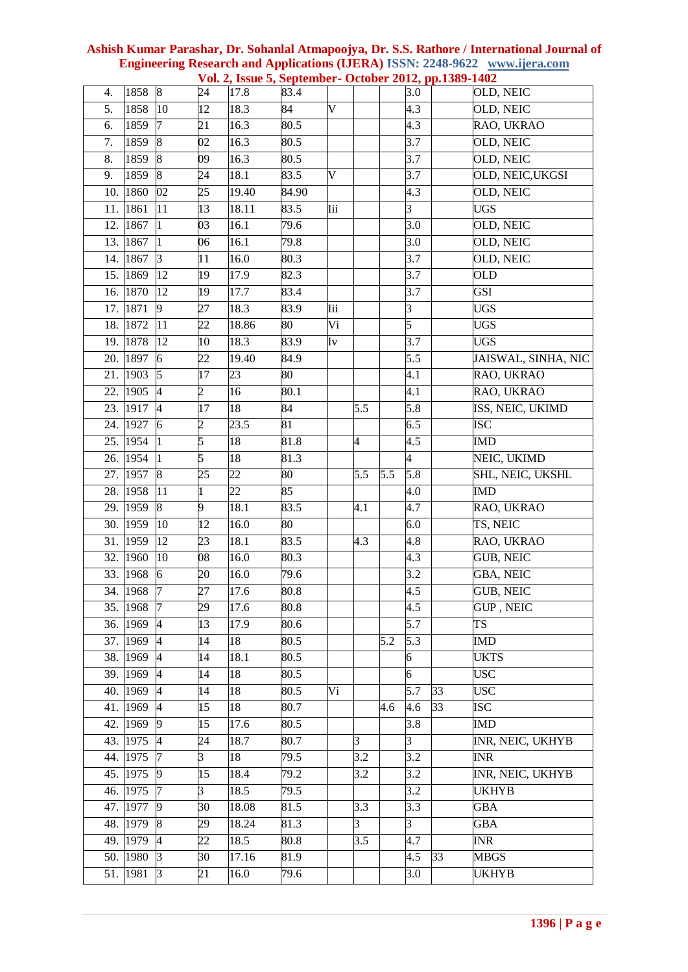| 4.               | 1858              | $8\phantom{.}$   | 24              | 17.8            | 83.4              |                         |     |     | 3.0              |                 | OLD, NEIC           |
|------------------|-------------------|------------------|-----------------|-----------------|-------------------|-------------------------|-----|-----|------------------|-----------------|---------------------|
| 5.               | 1858              | 10               | 12              | 18.3            | 84                | $\overline{\mathsf{V}}$ |     |     | 4.3              |                 | OLD, NEIC           |
| 6.               | 1859              | 7                | 21              | 16.3            | 80.5              |                         |     |     | 4.3              |                 | RAO, UKRAO          |
| 7.               | 1859              | $\vert 8$        | 02              | 16.3            | 80.5              |                         |     |     | 3.7              |                 | OLD, NEIC           |
| $\overline{8}$ . | 1859              | $\overline{8}$   | 09              | 16.3            | 80.5              |                         |     |     | $\overline{3.7}$ |                 | <b>OLD, NEIC</b>    |
| 9.               | 1859              | $\boldsymbol{8}$ | $\overline{24}$ | 18.1            | 83.5              | $\overline{\text{V}}$   |     |     | 3.7              |                 | OLD, NEIC, UKGSI    |
| 10.              | 1860              | 02               | 25              | 19.40           | 84.90             |                         |     |     | 4.3              |                 | OLD, NEIC           |
| 11.              | 1861              | 11               | 13              | 18.11           | 83.5              | Iii                     |     |     | 3                |                 | <b>UGS</b>          |
| 12.              | 1867              | 1                | 03              | 16.1            | 79.6              |                         |     |     | 3.0              |                 | OLD, NEIC           |
| 13.              | 1867              | $\mathbf{1}$     | 06              | 16.1            | 79.8              |                         |     |     | $\overline{3.0}$ |                 | OLD, NEIC           |
| 14.              | 1867              | $\beta$          | 11              | 16.0            | 80.3              |                         |     |     | 3.7              |                 | OLD, NEIC           |
| 15.              | 1869              | 12               | 19              | 17.9            | 82.3              |                         |     |     | 3.7              |                 | <b>OLD</b>          |
|                  | 16. 1870          | 12               | 19              | 17.7            | 83.4              |                         |     |     | 3.7              |                 | <b>GSI</b>          |
| 17.              | 1871              | 9                | 27              | 18.3            | 83.9              | Iii                     |     |     | 3                |                 | <b>UGS</b>          |
| 18.              | 1872              | $\overline{11}$  | $\overline{22}$ | 18.86           | $80\,$            | Vi                      |     |     | 5                |                 | <b>UGS</b>          |
| 19.              | 1878              | 12               | 10              | 18.3            | 83.9              | Iv                      |     |     | 3.7              |                 | <b>UGS</b>          |
| 20.              | 1897              | 6                | 22              | 19.40           | 84.9              |                         |     |     | 5.5              |                 | JAISWAL, SINHA, NIC |
|                  | 21. 1903          | $\overline{5}$   | $\overline{17}$ | 23              | $\overline{80}$   |                         |     |     | 4.1              |                 | RAO, UKRAO          |
| 22.              | 1905              | $\overline{A}$   | $\overline{c}$  | 16              | $\overline{80.1}$ |                         |     |     | 4.1              |                 | RAO, UKRAO          |
| 23.              | 1917              | $\overline{4}$   | $\overline{17}$ | 18              | 84                |                         | 5.5 |     | 5.8              |                 | ISS, NEIC, UKIMD    |
| 24.              | 1927              | 6                | $\overline{c}$  | 23.5            | 81                |                         |     |     | 6.5              |                 | <b>ISC</b>          |
| 25.              | 1954              | I1               | 5               | 18              | 81.8              |                         | 4   |     | 4.5              |                 | <b>IMD</b>          |
|                  | 26. 1954          | $\vert$ 1        | 5               | 18              | 81.3              |                         |     |     | 4                |                 | NEIC, UKIMD         |
| 27.              | 1957              | 8                | 25              | 22              | 80                |                         | 5.5 | 5.5 | 5.8              |                 | SHL, NEIC, UKSHL    |
| 28.              | 1958              | 11               | 1               | $\overline{22}$ | 85                |                         |     |     | 4.0              |                 | <b>IMD</b>          |
| 29.              | 1959              | $\boldsymbol{8}$ | 9               | 18.1            | 83.5              |                         | 4.1 |     | 4.7              |                 | RAO, UKRAO          |
| 30.              | 1959              | 10               | 12              | 16.0            | 80                |                         |     |     | 6.0              |                 | TS, NEIC            |
|                  | 31. 1959          | 12               | 23              | 18.1            | 83.5              |                         | 4.3 |     | 4.8              |                 | RAO, UKRAO          |
| 32.              | 1960              | 10               | 08              | 16.0            | 80.3              |                         |     |     | 4.3              |                 | <b>GUB, NEIC</b>    |
| 33.              | $196\overline{8}$ | 6                | 20              | 16.0            | 79.6              |                         |     |     | 3.2              |                 | <b>GBA, NEIC</b>    |
| 34.              | 1968              | 7                | 27              | 17.6            | $\overline{80.8}$ |                         |     |     | 4.5              |                 | <b>GUB, NEIC</b>    |
|                  | 35. 1968          | $\overline{7}$   | 29              | 17.6            | 80.8              |                         |     |     | 4.5              |                 | <b>GUP, NEIC</b>    |
|                  | 36. 1969          | $\overline{4}$   | 13              | 17.9            | 80.6              |                         |     |     | 5.7              |                 | <b>TS</b>           |
|                  | 37. 1969          | $\overline{A}$   | 14              | 18              | 80.5              |                         |     | 5.2 | 5.3              |                 | <b>IMD</b>          |
|                  | 38. 1969          | $\overline{4}$   | 14              | 18.1            | 80.5              |                         |     |     | 6                |                 | <b>UKTS</b>         |
| 39.              | 1969              | $\overline{A}$   | 14              | 18              | 80.5              |                         |     |     | 6                |                 | <b>USC</b>          |
|                  | 40. 1969          | 4                | 14              | 18              | 80.5              | Vi                      |     |     | 5.7              | 33              | <b>USC</b>          |
|                  | 41. 1969          | $\overline{4}$   | 15              | 18              | 80.7              |                         |     | 4.6 | 4.6              | $\overline{33}$ | <b>ISC</b>          |
| 42.              | 1969              | 9                | 15              | 17.6            | 80.5              |                         |     |     | 3.8              |                 | <b>IMD</b>          |
|                  | 43. 1975          | $\overline{4}$   | 24              | 18.7            | 80.7              |                         | 3   |     | 3                |                 | INR, NEIC, UKHYB    |
| 44.              | 1975              | 17               | 3               | 18              | 79.5              |                         | 3.2 |     | 3.2              |                 | <b>INR</b>          |
|                  | 45. 1975          | 9                | 15              | 18.4            | 79.2              |                         | 3.2 |     | 3.2              |                 | INR, NEIC, UKHYB    |
|                  | 46. 1975          | 7                | $\overline{3}$  | 18.5            | 79.5              |                         |     |     | 3.2              |                 | <b>UKHYB</b>        |
|                  | 47. 1977          | 9                | 30              | 18.08           | 81.5              |                         | 3.3 |     | 3.3              |                 | <b>GBA</b>          |
|                  | 48. 1979          | 8                | 29              | 18.24           | 81.3              |                         | 3   |     | 3                |                 | <b>GBA</b>          |
|                  | 49. 1979          | $\overline{A}$   | 22              | 18.5            | 80.8              |                         | 3.5 |     | 4.7              |                 | <b>INR</b>          |
|                  | 50. 1980          | $\vert 3 \vert$  | 30              | 17.16           | 81.9              |                         |     |     | 4.5              | 33              | <b>MBGS</b>         |
|                  | 51. 1981          | 3                | $\overline{21}$ | 16.0            | $\overline{79.6}$ |                         |     |     | 3.0              |                 | <b>UKHYB</b>        |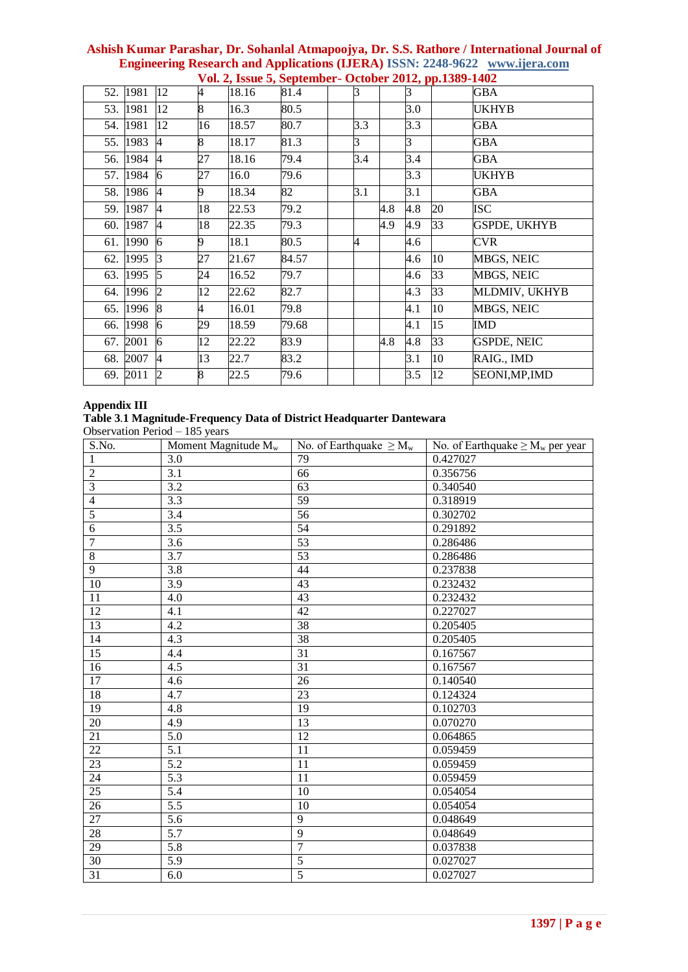| 52. 1981 | 12             | 4  | 18.16 | 81.4  | 3   |     | R,  |    | GBA                 |
|----------|----------------|----|-------|-------|-----|-----|-----|----|---------------------|
| 53. 1981 | 12             | 8  | 16.3  | 80.5  |     |     | 3.0 |    | UKHYB               |
| 54. 1981 | 12             | 16 | 18.57 | 80.7  | 3.3 |     | 3.3 |    | GBA                 |
| 55. 1983 | $\overline{4}$ | 8  | 18.17 | 81.3  | 3   |     | 3   |    | <b>GBA</b>          |
| 56. 1984 | $\overline{A}$ | 27 | 18.16 | 79.4  | 3.4 |     | 3.4 |    | <b>GBA</b>          |
| 57. 1984 | 6              | 27 | 16.0  | 79.6  |     |     | 3.3 |    | <b>UKHYB</b>        |
| 58. 1986 | $\overline{A}$ | 9  | 18.34 | 82    | 3.1 |     | 3.1 |    | <b>GBA</b>          |
| 59. 1987 | 4              | 18 | 22.53 | 79.2  |     | 4.8 | 4.8 | 20 | <b>ISC</b>          |
| 60. 1987 | 4              | 18 | 22.35 | 79.3  |     | 4.9 | 4.9 | 33 | <b>GSPDE, UKHYB</b> |
| 61. 1990 | 6              | 9  | 18.1  | 80.5  | 4   |     | 4.6 |    | <b>CVR</b>          |
| 62. 1995 | 13             | 27 | 21.67 | 84.57 |     |     | 4.6 | 10 | MBGS, NEIC          |
| 63. 1995 | 5              | 24 | 16.52 | 79.7  |     |     | 4.6 | 33 | <b>MBGS, NEIC</b>   |
| 64. 1996 | 2              | 12 | 22.62 | 82.7  |     |     | 4.3 | 33 | MLDMIV, UKHYB       |
| 65. 1996 | 8              | 4  | 16.01 | 79.8  |     |     | 4.1 | 10 | <b>MBGS, NEIC</b>   |
| 66. 1998 | 6              | 29 | 18.59 | 79.68 |     |     | 4.1 | 15 | IMD                 |
| 67. 2001 | 6              | 12 | 22.22 | 83.9  |     | 4.8 | 4.8 | 33 | <b>GSPDE, NEIC</b>  |
| 68. 2007 | $\overline{4}$ | 13 | 22.7  | 83.2  |     |     | 3.1 | 10 | RAIG., IMD          |
| 69. 2011 | $\overline{c}$ | 8  | 22.5  | 79.6  |     |     | 3.5 | 12 | SEONI, MP, IMD      |

# **Appendix III**

# **Table 3***.***1 Magnitude-Frequency Data of District Headquarter Dantewara**

Observation Period – 185 years

| S.No.           | Moment Magnitude $M_w$ | No. of Earthquake $\geq M_{\rm w}$ | No. of Earthquake $\geq M_w$ per year |
|-----------------|------------------------|------------------------------------|---------------------------------------|
| $\mathbf{1}$    | 3.0                    | 79                                 | 0.427027                              |
| $\overline{2}$  | 3.1                    | 66                                 | 0.356756                              |
| $\overline{3}$  | $\overline{3.2}$       | $\overline{63}$                    | 0.340540                              |
| $\overline{4}$  | 3.3                    | $\overline{59}$                    | 0.318919                              |
| $\overline{5}$  | 3.4                    | 56                                 | 0.302702                              |
| $\overline{6}$  | $\overline{3.5}$       | $\overline{54}$                    | 0.291892                              |
| $\overline{7}$  | $\overline{3.6}$       | 53                                 | 0.286486                              |
| $\overline{8}$  | 3.7                    | $\overline{53}$                    | 0.286486                              |
| $\overline{9}$  | $\overline{3.8}$       | 44                                 | 0.237838                              |
| 10              | 3.9                    | 43                                 | 0.232432                              |
| 11              | 4.0                    | 43                                 | 0.232432                              |
| $\overline{12}$ | 4.1                    | 42                                 | 0.227027                              |
| $\overline{13}$ | 4.2                    | $\overline{38}$                    | 0.205405                              |
| 14              | 4.3                    | $\overline{38}$                    | 0.205405                              |
| $\overline{15}$ | $\overline{4.4}$       | $\overline{31}$                    | 0.167567                              |
| $\overline{16}$ | 4.5                    | 31                                 | 0.167567                              |
| 17              | 4.6                    | 26                                 | 0.140540                              |
| 18              | 4.7                    | 23                                 | 0.124324                              |
| 19              | 4.8                    | 19                                 | 0.102703                              |
| $20\,$          | 4.9                    | 13                                 | 0.070270                              |
| $\overline{21}$ | $\overline{5.0}$       | 12                                 | 0.064865                              |
| $\overline{22}$ | $\overline{5.1}$       | 11                                 | 0.059459                              |
| 23              | 5.2                    | 11                                 | 0.059459                              |
| 24              | 5.3                    | 11                                 | 0.059459                              |
| $\overline{25}$ | $\overline{5.4}$       | 10                                 | 0.054054                              |
| 26              | 5.5                    | 10                                 | 0.054054                              |
| 27              | 5.6                    | 9                                  | 0.048649                              |
| $\overline{28}$ | $\overline{5.7}$       | $\overline{9}$                     | 0.048649                              |
| $\overline{29}$ | $\overline{5.8}$       | $\overline{7}$                     | 0.037838                              |
| 30              | 5.9                    | 5                                  | 0.027027                              |
| 31              | 6.0                    | $\overline{5}$                     | 0.027027                              |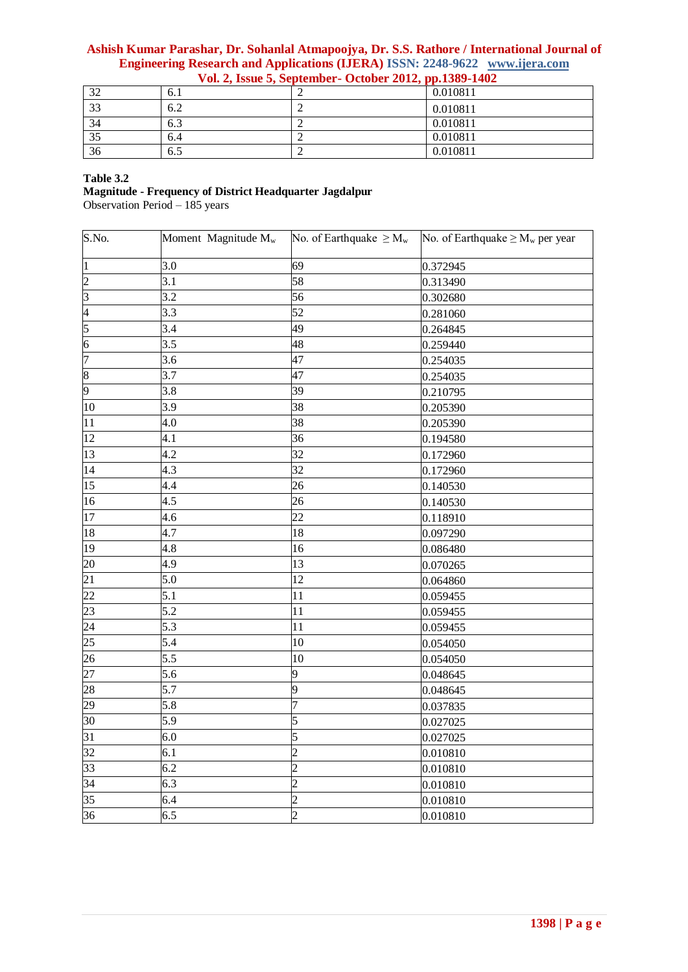# **Ashish Kumar Parashar, Dr. Sohanlal Atmapoojya, Dr. S.S. Rathore / International Journal of Engineering Research and Applications (IJERA) ISSN: 2248-9622 www.ijera.com**

| $\mathcal{D}$<br>ىر | 6.1 | 0.010811 |
|---------------------|-----|----------|
| 33                  | 6.2 | 0.010811 |
| 34                  | 6.3 | 0.010811 |
| 35                  | 6.4 | 0.010811 |
| 36                  | 6.5 | 0.010811 |

 **Vol. 2, Issue 5, September- October 2012, pp.1389-1402**

## **Table 3.2**

**Magnitude - Frequency of District Headquarter Jagdalpur**

Observation Period – 185 years

| $\overline{S}$ .No. | Moment Magnitude M <sub>w</sub> | No. of Earthquake $\geq M_w$ | No. of Earthquake $\geq M_w$ per year |
|---------------------|---------------------------------|------------------------------|---------------------------------------|
| $\vert$ 1           | 3.0                             | 69                           | 0.372945                              |
| $\overline{2}$      | 3.1                             | 58                           | 0.313490                              |
| $\overline{3}$      | 3.2                             | 56                           | 0.302680                              |
| $\overline{4}$      | 3.3                             | 52                           | 0.281060                              |
| $\overline{5}$      | 3.4                             | 49                           | 0.264845                              |
| $\overline{6}$      | 3.5                             | 48                           | 0.259440                              |
| $\overline{7}$      | 3.6                             | 47                           | 0.254035                              |
| $\boldsymbol{8}$    | 3.7                             | 47                           | 0.254035                              |
| $\overline{9}$      | 3.8                             | 39                           | 0.210795                              |
| 10                  | 3.9                             | 38                           | 0.205390                              |
| 11                  | 4.0                             | 38                           | 0.205390                              |
| $\overline{12}$     | 4.1                             | 36                           | 0.194580                              |
| 13                  | 4.2                             | 32                           | 0.172960                              |
| 14                  | 4.3                             | 32                           | 0.172960                              |
| 15                  | 4.4                             | 26                           | 0.140530                              |
| 16                  | 4.5                             | 26                           | 0.140530                              |
| 17                  | 4.6                             | 22                           | 0.118910                              |
| 18                  | 4.7                             | 18                           | 0.097290                              |
| 19                  | 4.8                             | 16                           | 0.086480                              |
| 20                  | 4.9                             | 13                           | 0.070265                              |
| 21                  | 5.0                             | 12                           | 0.064860                              |
| 22                  | 5.1                             | 11                           | 0.059455                              |
| 23                  | 5.2                             | 11                           | 0.059455                              |
| 24                  | 5.3                             | 11                           | 0.059455                              |
| 25                  | 5.4                             | 10                           | 0.054050                              |
| 26                  | 5.5                             | 10                           | 0.054050                              |
| 27                  | 5.6                             | 9                            | 0.048645                              |
| 28                  | 5.7                             | 9                            | 0.048645                              |
| 29                  | 5.8                             | 7                            | 0.037835                              |
| 30                  | 5.9                             | 5                            | 0.027025                              |
| 31                  | 6.0                             | 5                            | 0.027025                              |
| 32                  | 6.1                             | $\overline{2}$               | 0.010810                              |
| $\overline{3}3$     | 6.2                             | $\overline{2}$               | 0.010810                              |
| 34                  | 6.3                             | $\overline{2}$               | 0.010810                              |
| 35                  | 6.4                             | 2                            | 0.010810                              |
| 36                  | 6.5                             | $\overline{2}$               | 0.010810                              |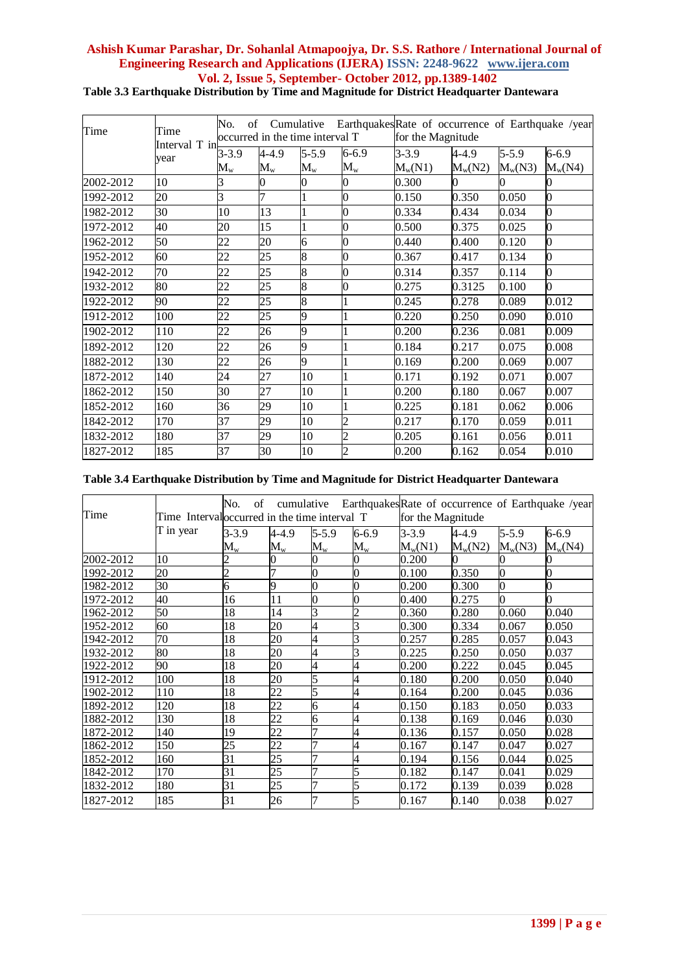| Time      | Time<br>Interval T in | No.<br>of                | Cumulative<br>occurred in the time interval T |                          |                                        | EarthquakesRate of occurrence of Earthquake /year<br>for the Magnitude |                              |                              |                        |
|-----------|-----------------------|--------------------------|-----------------------------------------------|--------------------------|----------------------------------------|------------------------------------------------------------------------|------------------------------|------------------------------|------------------------|
|           | year                  | $3 - 3.9$<br>$\rm M_{w}$ | $4 - 4.9$<br>$\rm M_{w}$                      | $5 - 5.9$<br>$M_{\rm w}$ | $6 - 6.9$<br>$\mathbf{M}_{\mathrm{w}}$ | $3 - 3.9$<br>$M_w(N1)$                                                 | $4 - 4.9$<br>$M_{\rm w}(N2)$ | $5 - 5.9$<br>$M_{\rm w}(N3)$ | $6 - 6.9$<br>$M_w(N4)$ |
| 2002-2012 | 10                    |                          | 0                                             |                          | 0                                      | 0.300                                                                  | 0                            |                              | 0                      |
| 1992-2012 | 20                    | 3                        | 7                                             | 1                        | $\bf{0}$                               | 0.150                                                                  | 0.350                        | 0.050                        | $\overline{0}$         |
| 1982-2012 | 30                    | 10                       | 13                                            | $\mathbf{1}$             | $\mathbf 0$                            | 0.334                                                                  | 0.434                        | 0.034                        | $\mathbf{0}$           |
| 1972-2012 | 40                    | 20                       | 15                                            | $\mathbf{1}$             | $\bf{0}$                               | 0.500                                                                  | 0.375                        | 0.025                        | $\overline{0}$         |
| 1962-2012 | 50                    | 22                       | 20                                            | 6                        | $\bf{0}$                               | 0.440                                                                  | 0.400                        | 0.120                        | $\boldsymbol{0}$       |
| 1952-2012 | 60                    | 22                       | 25                                            | 8                        | $\bf{0}$                               | 0.367                                                                  | 0.417                        | 0.134                        | $\overline{0}$         |
| 1942-2012 | 70                    | 22                       | 25                                            | 8                        | $\bf{0}$                               | 0.314                                                                  | 0.357                        | 0.114                        | $\overline{0}$         |
| 1932-2012 | 80                    | 22                       | 25                                            | $\overline{8}$           | $\boldsymbol{0}$                       | 0.275                                                                  | 0.3125                       | 0.100                        | $\overline{0}$         |
| 1922-2012 | 90                    | 22                       | 25                                            | 8                        |                                        | 0.245                                                                  | 0.278                        | 0.089                        | 0.012                  |
| 1912-2012 | 100                   | 22                       | 25                                            | 9                        |                                        | 0.220                                                                  | 0.250                        | 0.090                        | 0.010                  |
| 1902-2012 | 110                   | 22                       | 26                                            | 9                        |                                        | 0.200                                                                  | 0.236                        | 0.081                        | 0.009                  |
| 1892-2012 | 120                   | 22                       | 26                                            | 9                        |                                        | 0.184                                                                  | 0.217                        | 0.075                        | 0.008                  |
| 1882-2012 | 130                   | 22                       | 26                                            | 9                        | 1                                      | 0.169                                                                  | 0.200                        | 0.069                        | 0.007                  |
| 1872-2012 | 140                   | 24                       | 27                                            | 10                       |                                        | 0.171                                                                  | 0.192                        | 0.071                        | 0.007                  |
| 1862-2012 | 150                   | 30                       | 27                                            | 10                       | 1                                      | 0.200                                                                  | 0.180                        | 0.067                        | 0.007                  |
| 1852-2012 | 160                   | 36                       | 29                                            | 10                       |                                        | 0.225                                                                  | 0.181                        | 0.062                        | 0.006                  |
| 1842-2012 | 170                   | 37                       | 29                                            | 10                       | $\overline{c}$                         | 0.217                                                                  | 0.170                        | 0.059                        | 0.011                  |
| 1832-2012 | 180                   | 37                       | 29                                            | 10                       | $\overline{c}$                         | 0.205                                                                  | 0.161                        | 0.056                        | 0.011                  |
| 1827-2012 | 185                   | 37                       | 30                                            | 10                       | $\overline{c}$                         | 0.200                                                                  | 0.162                        | 0.054                        | 0.010                  |

# **Table 3.4 Earthquake Distribution by Time and Magnitude for District Headquarter Dantewara**

| Time      | Time Interval occurred in the time interval T | No.<br>of      | cumulative                |                           |                 | EarthquakesRate of occurrence of Earthquake /year<br>for the Magnitude |           |                 |                |
|-----------|-----------------------------------------------|----------------|---------------------------|---------------------------|-----------------|------------------------------------------------------------------------|-----------|-----------------|----------------|
|           | T in year                                     | $3 - 3.9$      | 4-4.9                     | $5 - 5.9$                 | $6 - 6.9$       | $3 - 3.9$                                                              | $4 - 4.9$ | $5 - 5.9$       | $6 - 6.9$      |
|           |                                               | $\rm M_{w}$    | $\mathbf{M}_{\mathrm{w}}$ | $\mathbf{M}_{\mathrm{w}}$ | $\rm M_{\rm w}$ | $M_{\rm w}(N1)$                                                        | $M_w(N2)$ | $M_{\rm w}(N3)$ | $M_w(N4)$      |
| 2002-2012 | 10                                            |                |                           |                           |                 | 0.200                                                                  |           |                 | 0              |
| 1992-2012 | 20                                            | $\overline{c}$ |                           | 0                         | $\overline{0}$  | 0.100                                                                  | 0.350     |                 | 0              |
| 1982-2012 | 30                                            | 6              | 9                         | 0                         | 0               | 0.200                                                                  | 0.300     | $\overline{0}$  | $\overline{0}$ |
| 1972-2012 | 40                                            | 16             | 11                        | 0                         | 0               | 0.400                                                                  | 0.275     |                 | $\Omega$       |
| 1962-2012 | 50                                            | 18             | 14                        | 3                         |                 | 0.360                                                                  | 0.280     | 0.060           | 0.040          |
| 1952-2012 | 60                                            | 18             | 20                        | 4                         | 3               | 0.300                                                                  | 0.334     | 0.067           | 0.050          |
| 1942-2012 | 70                                            | 18             | 20                        | 4                         | 3               | 0.257                                                                  | 0.285     | 0.057           | 0.043          |
| 1932-2012 | 80                                            | 18             | 20                        | 4                         | 3               | 0.225                                                                  | 0.250     | 0.050           | 0.037          |
| 1922-2012 | 90                                            | 18             | 20                        | 4                         | 4               | 0.200                                                                  | 0.222     | 0.045           | 0.045          |
| 1912-2012 | 100                                           | 18             | 20                        | 5                         | 4               | 0.180                                                                  | 0.200     | 0.050           | 0.040          |
| 1902-2012 | 110                                           | 18             | 22                        | 5                         | 4               | 0.164                                                                  | 0.200     | 0.045           | 0.036          |
| 1892-2012 | 120                                           | 18             | 22                        | 6                         | 4               | 0.150                                                                  | 0.183     | 0.050           | 0.033          |
| 1882-2012 | 130                                           | 18             | 22                        | 6                         | 4               | 0.138                                                                  | 0.169     | 0.046           | 0.030          |
| 1872-2012 | 140                                           | 19             | 22                        |                           | 4               | 0.136                                                                  | 0.157     | 0.050           | 0.028          |
| 1862-2012 | 150                                           | 25             | 22                        |                           | 4               | 0.167                                                                  | 0.147     | 0.047           | 0.027          |
| 1852-2012 | 160                                           | 31             | 25                        |                           | 4               | 0.194                                                                  | 0.156     | 0.044           | 0.025          |
| 1842-2012 | 170                                           | 31             | 25                        |                           | 5               | 0.182                                                                  | 0.147     | 0.041           | 0.029          |
| 1832-2012 | 180                                           | 31             | 25                        |                           | 5               | 0.172                                                                  | 0.139     | 0.039           | 0.028          |
| 1827-2012 | 185                                           | 31             | 26                        |                           | $\overline{5}$  | 0.167                                                                  | 0.140     | 0.038           | 0.027          |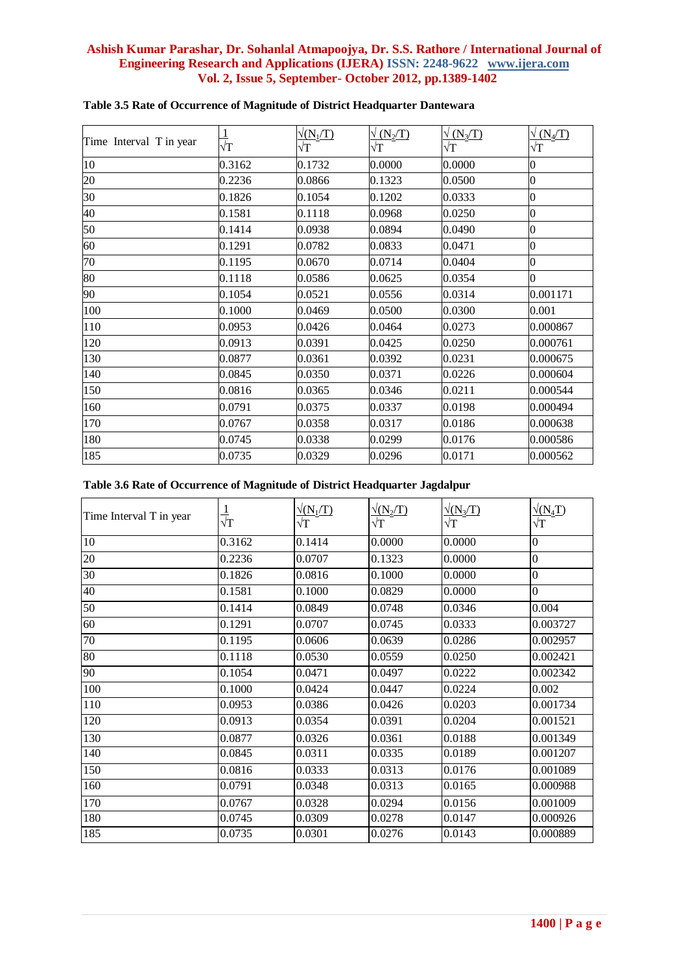| Time Interval T in year | $\overline{\sqrt{T}}$ | $\sqrt{(N_1/T)}$<br>$\sqrt{\text{T}}$ | $\sqrt{(N_2/T)}$<br>$\sqrt{\text{T}}$ | $\sqrt{(N_3/T)}$<br>$\sqrt{T}$ | $\sqrt{(N_4/T)}$<br>$\sqrt{\text{T}}$ |
|-------------------------|-----------------------|---------------------------------------|---------------------------------------|--------------------------------|---------------------------------------|
| 10                      | 0.3162                | 0.1732                                | 0.0000                                | 0.0000                         | $\boldsymbol{0}$                      |
| 20                      | 0.2236                | 0.0866                                | 0.1323                                | 0.0500                         | $\boldsymbol{0}$                      |
| 30                      | 0.1826                | 0.1054                                | 0.1202                                | 0.0333                         | $\overline{0}$                        |
| 40                      | 0.1581                | 0.1118                                | 0.0968                                | 0.0250                         | $\boldsymbol{0}$                      |
| 50                      | 0.1414                | 0.0938                                | 0.0894                                | 0.0490                         | $\overline{0}$                        |
| 60                      | 0.1291                | 0.0782                                | 0.0833                                | 0.0471                         | $\boldsymbol{0}$                      |
| $\overline{70}$         | 0.1195                | 0.0670                                | 0.0714                                | 0.0404                         | $\overline{0}$                        |
| 80                      | 0.1118                | 0.0586                                | 0.0625                                | 0.0354                         | $\overline{0}$                        |
| 90                      | 0.1054                | 0.0521                                | 0.0556                                | 0.0314                         | 0.001171                              |
| 100                     | 0.1000                | 0.0469                                | 0.0500                                | 0.0300                         | 0.001                                 |
| 110                     | 0.0953                | 0.0426                                | 0.0464                                | 0.0273                         | 0.000867                              |
| 120                     | 0.0913                | 0.0391                                | 0.0425                                | 0.0250                         | 0.000761                              |
| 130                     | 0.0877                | 0.0361                                | 0.0392                                | 0.0231                         | 0.000675                              |
| 140                     | 0.0845                | 0.0350                                | 0.0371                                | 0.0226                         | 0.000604                              |
| 150                     | 0.0816                | 0.0365                                | 0.0346                                | 0.0211                         | 0.000544                              |
| 160                     | 0.0791                | 0.0375                                | 0.0337                                | 0.0198                         | 0.000494                              |
| 170                     | 0.0767                | 0.0358                                | 0.0317                                | 0.0186                         | 0.000638                              |
| 180                     | 0.0745                | 0.0338                                | 0.0299                                | 0.0176                         | 0.000586                              |
| 185                     | 0.0735                | 0.0329                                | 0.0296                                | 0.0171                         | 0.000562                              |

# **Table 3.5 Rate of Occurrence of Magnitude of District Headquarter Dantewara**

# **Table 3.6 Rate of Occurrence of Magnitude of District Headquarter Jagdalpur**

| Time Interval T in year | $\frac{1}{\sqrt{\text{T}}}$ | $\sqrt{\frac{(N_1/T)}{T}}$<br>$\sqrt{\text{T}}$ | $\sqrt{(N_2/T)}$<br>$\sqrt{T}$ | $\sqrt{(N_3/T)}$<br>$\sqrt{T}$ | $\sqrt{(N_4T)}$<br>$\sqrt{T}$ |
|-------------------------|-----------------------------|-------------------------------------------------|--------------------------------|--------------------------------|-------------------------------|
| 10                      | 0.3162                      | 0.1414                                          | 0.0000                         | 0.0000                         | $\boldsymbol{0}$              |
| 20                      | 0.2236                      | 0.0707                                          | 0.1323                         | 0.0000                         | $\boldsymbol{0}$              |
| 30                      | 0.1826                      | 0.0816                                          | 0.1000                         | 0.0000                         | $\overline{0}$                |
| 40                      | 0.1581                      | 0.1000                                          | 0.0829                         | 0.0000                         | $\overline{0}$                |
| 50                      | 0.1414                      | 0.0849                                          | 0.0748                         | 0.0346                         | 0.004                         |
| 60                      | 0.1291                      | 0.0707                                          | 0.0745                         | 0.0333                         | 0.003727                      |
| 70                      | 0.1195                      | 0.0606                                          | 0.0639                         | 0.0286                         | 0.002957                      |
| 80                      | 0.1118                      | 0.0530                                          | 0.0559                         | 0.0250                         | 0.002421                      |
| 90                      | 0.1054                      | 0.0471                                          | 0.0497                         | 0.0222                         | 0.002342                      |
| 100                     | 0.1000                      | 0.0424                                          | 0.0447                         | 0.0224                         | 0.002                         |
| 110                     | 0.0953                      | 0.0386                                          | 0.0426                         | 0.0203                         | 0.001734                      |
| 120                     | 0.0913                      | 0.0354                                          | 0.0391                         | 0.0204                         | 0.001521                      |
| 130                     | 0.0877                      | 0.0326                                          | 0.0361                         | 0.0188                         | 0.001349                      |
| 140                     | 0.0845                      | 0.0311                                          | 0.0335                         | 0.0189                         | 0.001207                      |
| 150                     | 0.0816                      | 0.0333                                          | 0.0313                         | 0.0176                         | 0.001089                      |
| 160                     | 0.0791                      | 0.0348                                          | 0.0313                         | 0.0165                         | 0.000988                      |
| 170                     | 0.0767                      | 0.0328                                          | 0.0294                         | 0.0156                         | 0.001009                      |
| 180                     | 0.0745                      | 0.0309                                          | 0.0278                         | 0.0147                         | 0.000926                      |
| 185                     | 0.0735                      | 0.0301                                          | 0.0276                         | 0.0143                         | 0.000889                      |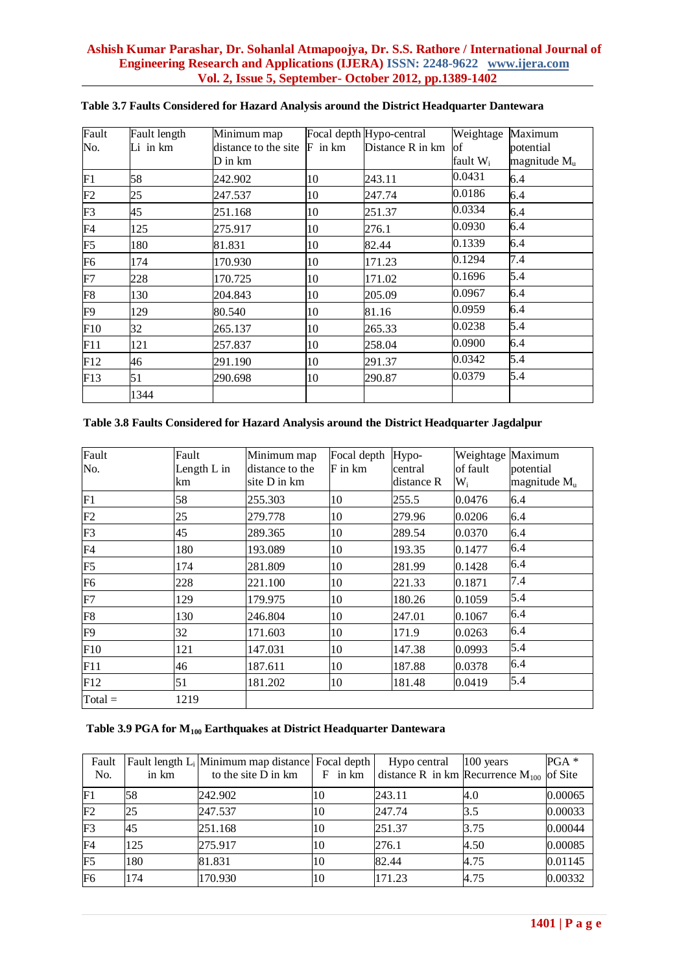| Fault          | Fault length | Minimum map          |             | Focal depth Hypo-central | Weightage   | Maximum        |
|----------------|--------------|----------------------|-------------|--------------------------|-------------|----------------|
| No.            | $Li$ in $km$ | distance to the site | $F$ in $km$ | Distance R in km         | <b>of</b>   | potential      |
|                |              | D in km              |             |                          | fault $W_i$ | magnitude $Mu$ |
| F1             | 58           | 242.902              | 10          | 243.11                   | 0.0431      | 6.4            |
| F2             | 25           | 247.537              | 10          | 247.74                   | 0.0186      | 6.4            |
| F <sub>3</sub> | 45           | 251.168              | 10          | 251.37                   | 0.0334      | 6.4            |
| F <sub>4</sub> | 125          | 275.917              | 10          | 276.1                    | 0.0930      | 6.4            |
| F5             | 180          | 81.831               | 10          | 82.44                    | 0.1339      | 6.4            |
| F <sub>6</sub> | 174          | 170.930              | 10          | 171.23                   | 0.1294      | 7.4            |
| F7             | 228          | 170.725              | 10          | 171.02                   | 0.1696      | 5.4            |
| F8             | 130          | 204.843              | 10          | 205.09                   | 0.0967      | 6.4            |
| F9             | 129          | 80.540               | 10          | 81.16                    | 0.0959      | 6.4            |
| F10            | 32           | 265.137              | 10          | 265.33                   | 0.0238      | 5.4            |
| F11            | 121          | 257.837              | 10          | 258.04                   | 0.0900      | 6.4            |
| F12            | 46           | 291.190              | 10          | 291.37                   | 0.0342      | 5.4            |
| F13            | 51           | 290.698              | 10          | 290.87                   | 0.0379      | 5.4            |
|                | 1344         |                      |             |                          |             |                |

# **Table 3.7 Faults Considered for Hazard Analysis around the District Headquarter Dantewara**

## **Table 3.8 Faults Considered for Hazard Analysis around the District Headquarter Jagdalpur**

| Fault<br>No.   | Fault<br>Length L in | Minimum map<br>distance to the | Focal depth<br>F in km | Hypo-<br>central | Weightage Maximum<br>of fault | potential                |
|----------------|----------------------|--------------------------------|------------------------|------------------|-------------------------------|--------------------------|
|                | km                   | site D in km                   |                        | distance R       | $W_i$                         | magnitude M <sub>u</sub> |
| F <sub>1</sub> | 58                   | 255.303                        | 10                     | 255.5            | 0.0476                        | 6.4                      |
| F2             | 25                   | 279.778                        | 10                     | 279.96           | 0.0206                        | 6.4                      |
| F <sub>3</sub> | 45                   | 289.365                        | 10                     | 289.54           | 0.0370                        | 6.4                      |
| F <sub>4</sub> | 180                  | 193.089                        | 10                     | 193.35           | 0.1477                        | 6.4                      |
| F <sub>5</sub> | 174                  | 281.809                        | 10                     | 281.99           | 0.1428                        | 6.4                      |
| F <sub>6</sub> | 228                  | 221.100                        | 10                     | 221.33           | 0.1871                        | 7.4                      |
| F7             | 129                  | 179.975                        | 10                     | 180.26           | 0.1059                        | 5.4                      |
| F8             | 130                  | 246.804                        | 10                     | 247.01           | 0.1067                        | 6.4                      |
| F <sub>9</sub> | 32                   | 171.603                        | 10                     | 171.9            | 0.0263                        | 6.4                      |
| F10            | 121                  | 147.031                        | 10                     | 147.38           | 0.0993                        | 5.4                      |
| F11            | 46                   | 187.611                        | 10                     | 187.88           | 0.0378                        | 6.4                      |
| F12            | 51                   | 181.202                        | 10                     | 181.48           | 0.0419                        | 5.4                      |
| $Total =$      | 1219                 |                                |                        |                  |                               |                          |

# **Table 3.9 PGA for M<sup>100</sup> Earthquakes at District Headquarter Dantewara**

| Fault<br>No.   | in km | Fault length L <sub>i</sub> Minimum map distance Focal depth<br>to the site D in km | $F$ in $km$ | Hypo central<br>distance R in km Recurrence $M_{100}$ of Site | $100$ years | $PGA*$  |
|----------------|-------|-------------------------------------------------------------------------------------|-------------|---------------------------------------------------------------|-------------|---------|
| F <sub>1</sub> | 58    | 242.902                                                                             | 10          | 243.11                                                        | 4.0         | 0.00065 |
| F2             | 25    | 247.537                                                                             | 10          | 247.74                                                        | 3.5         | 0.00033 |
| F <sub>3</sub> | 45    | 251.168                                                                             | 10          | 251.37                                                        | 3.75        | 0.00044 |
| F <sub>4</sub> | 125   | 275.917                                                                             | 10          | 276.1                                                         | 4.50        | 0.00085 |
| F <sub>5</sub> | 180   | 81.831                                                                              | 10          | 82.44                                                         | 4.75        | 0.01145 |
| F <sub>6</sub> | 174   | 170.930                                                                             | 10          | 171.23                                                        | 4.75        | 0.00332 |